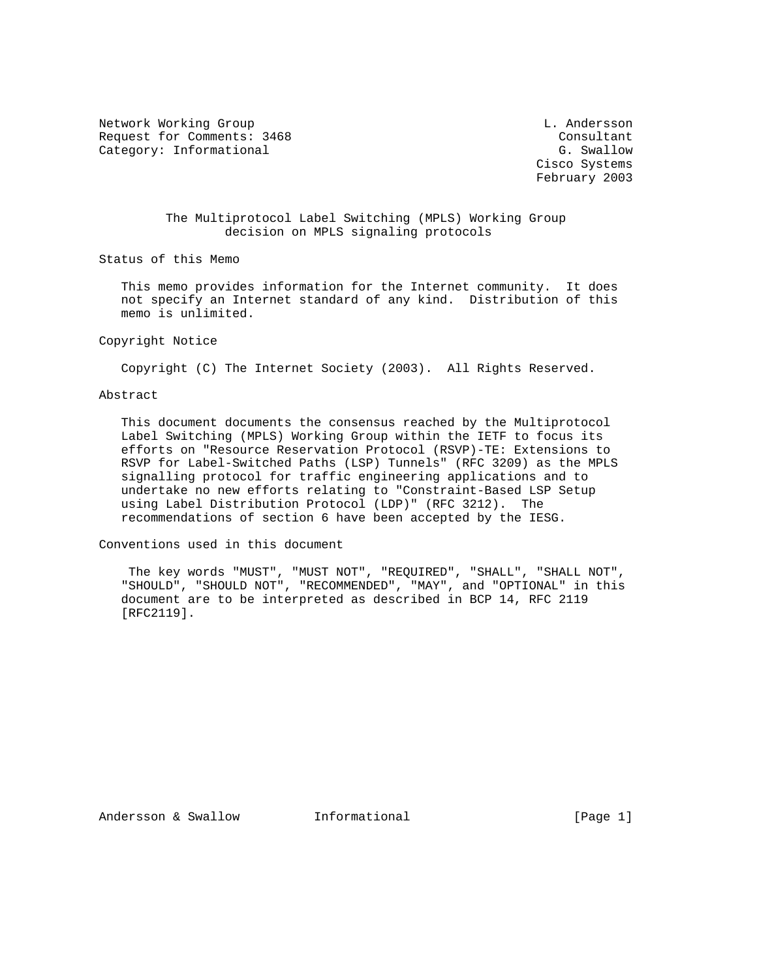Network Working Group and the control of the control of the control of the control of the control of the control of the control of the control of the control of the control of the control of the control of the control of t Request for Comments: 3468 Consultant Category: Informational G. Swallow

 Cisco Systems February 2003

## The Multiprotocol Label Switching (MPLS) Working Group decision on MPLS signaling protocols

Status of this Memo

 This memo provides information for the Internet community. It does not specify an Internet standard of any kind. Distribution of this memo is unlimited.

## Copyright Notice

Copyright (C) The Internet Society (2003). All Rights Reserved.

## Abstract

 This document documents the consensus reached by the Multiprotocol Label Switching (MPLS) Working Group within the IETF to focus its efforts on "Resource Reservation Protocol (RSVP)-TE: Extensions to RSVP for Label-Switched Paths (LSP) Tunnels" (RFC 3209) as the MPLS signalling protocol for traffic engineering applications and to undertake no new efforts relating to "Constraint-Based LSP Setup using Label Distribution Protocol (LDP)" (RFC 3212). The recommendations of section 6 have been accepted by the IESG.

Conventions used in this document

 The key words "MUST", "MUST NOT", "REQUIRED", "SHALL", "SHALL NOT", "SHOULD", "SHOULD NOT", "RECOMMENDED", "MAY", and "OPTIONAL" in this document are to be interpreted as described in BCP 14, RFC 2119 [RFC2119].

Andersson & Swallow Informational [Page 1]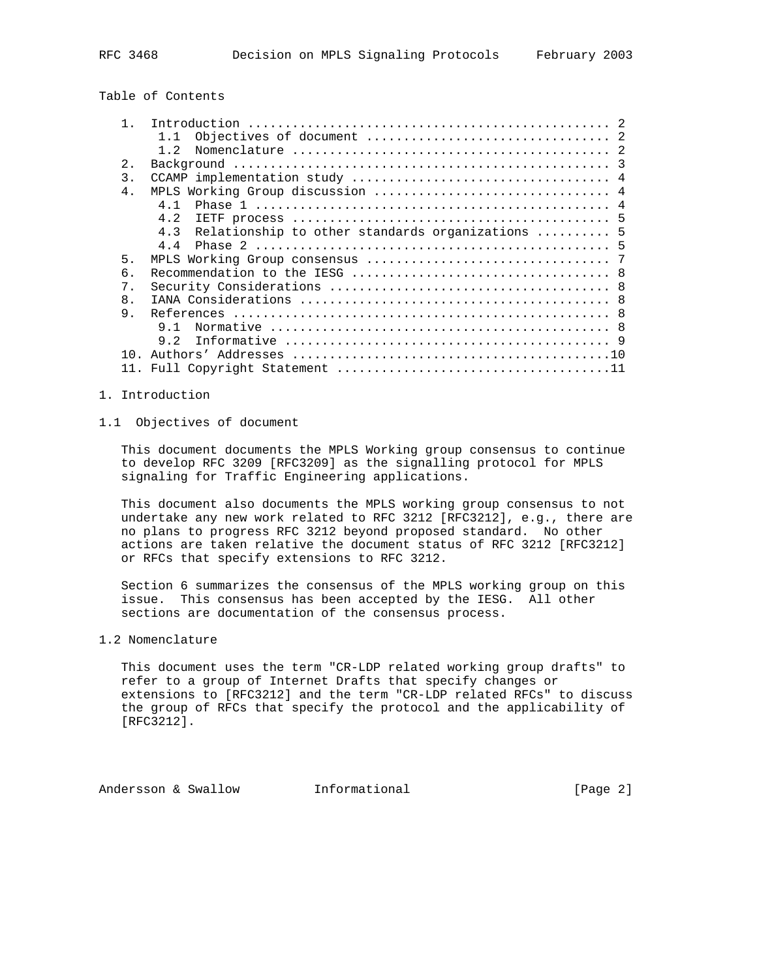Table of Contents

| 2.<br>$\overline{3}$ .<br>$4$ .<br>4 1<br>4.2<br>4.3<br>44<br>5.<br>6.<br>$7$ .<br>8 <sub>1</sub><br>9.<br>9 1<br>9 2<br>$1 \cap$ |  |                                                  |
|-----------------------------------------------------------------------------------------------------------------------------------|--|--------------------------------------------------|
|                                                                                                                                   |  |                                                  |
|                                                                                                                                   |  |                                                  |
|                                                                                                                                   |  |                                                  |
|                                                                                                                                   |  |                                                  |
|                                                                                                                                   |  | MPLS Working Group discussion  4                 |
|                                                                                                                                   |  |                                                  |
|                                                                                                                                   |  |                                                  |
|                                                                                                                                   |  | Relationship to other standards organizations  5 |
|                                                                                                                                   |  |                                                  |
|                                                                                                                                   |  |                                                  |
|                                                                                                                                   |  |                                                  |
|                                                                                                                                   |  |                                                  |
|                                                                                                                                   |  |                                                  |
|                                                                                                                                   |  |                                                  |
|                                                                                                                                   |  |                                                  |
|                                                                                                                                   |  |                                                  |
|                                                                                                                                   |  |                                                  |
|                                                                                                                                   |  |                                                  |

## 1. Introduction

## 1.1 Objectives of document

 This document documents the MPLS Working group consensus to continue to develop RFC 3209 [RFC3209] as the signalling protocol for MPLS signaling for Traffic Engineering applications.

 This document also documents the MPLS working group consensus to not undertake any new work related to RFC 3212 [RFC3212], e.g., there are no plans to progress RFC 3212 beyond proposed standard. No other actions are taken relative the document status of RFC 3212 [RFC3212] or RFCs that specify extensions to RFC 3212.

 Section 6 summarizes the consensus of the MPLS working group on this issue. This consensus has been accepted by the IESG. All other sections are documentation of the consensus process.

1.2 Nomenclature

 This document uses the term "CR-LDP related working group drafts" to refer to a group of Internet Drafts that specify changes or extensions to [RFC3212] and the term "CR-LDP related RFCs" to discuss the group of RFCs that specify the protocol and the applicability of [RFC3212].

Andersson & Swallow **Informational Informational** [Page 2]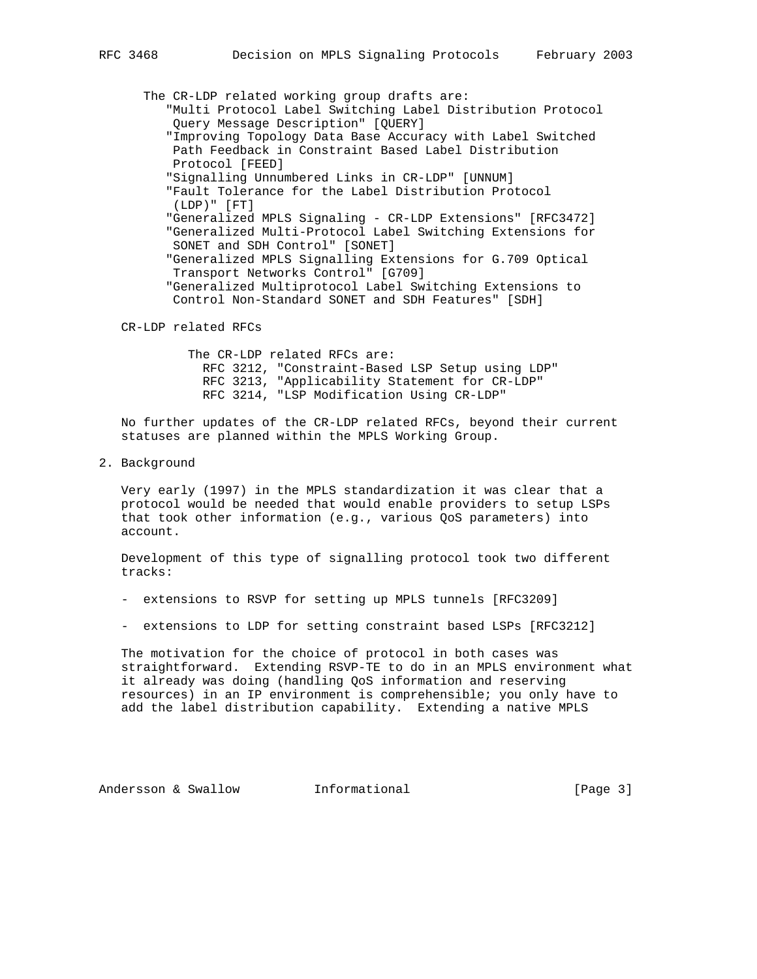The CR-LDP related working group drafts are:

- "Multi Protocol Label Switching Label Distribution Protocol Query Message Description" [QUERY]
- "Improving Topology Data Base Accuracy with Label Switched Path Feedback in Constraint Based Label Distribution Protocol [FEED]
- "Signalling Unnumbered Links in CR-LDP" [UNNUM]
- "Fault Tolerance for the Label Distribution Protocol (LDP)" [FT]
- "Generalized MPLS Signaling CR-LDP Extensions" [RFC3472] "Generalized Multi-Protocol Label Switching Extensions for SONET and SDH Control" [SONET]
- "Generalized MPLS Signalling Extensions for G.709 Optical Transport Networks Control" [G709]
- "Generalized Multiprotocol Label Switching Extensions to Control Non-Standard SONET and SDH Features" [SDH]
- CR-LDP related RFCs

 The CR-LDP related RFCs are: RFC 3212, "Constraint-Based LSP Setup using LDP" RFC 3213, "Applicability Statement for CR-LDP" RFC 3214, "LSP Modification Using CR-LDP"

 No further updates of the CR-LDP related RFCs, beyond their current statuses are planned within the MPLS Working Group.

2. Background

 Very early (1997) in the MPLS standardization it was clear that a protocol would be needed that would enable providers to setup LSPs that took other information (e.g., various QoS parameters) into account.

 Development of this type of signalling protocol took two different tracks:

- extensions to RSVP for setting up MPLS tunnels [RFC3209]
- extensions to LDP for setting constraint based LSPs [RFC3212]

 The motivation for the choice of protocol in both cases was straightforward. Extending RSVP-TE to do in an MPLS environment what it already was doing (handling QoS information and reserving resources) in an IP environment is comprehensible; you only have to add the label distribution capability. Extending a native MPLS

Andersson & Swallow **Informational** [Page 3]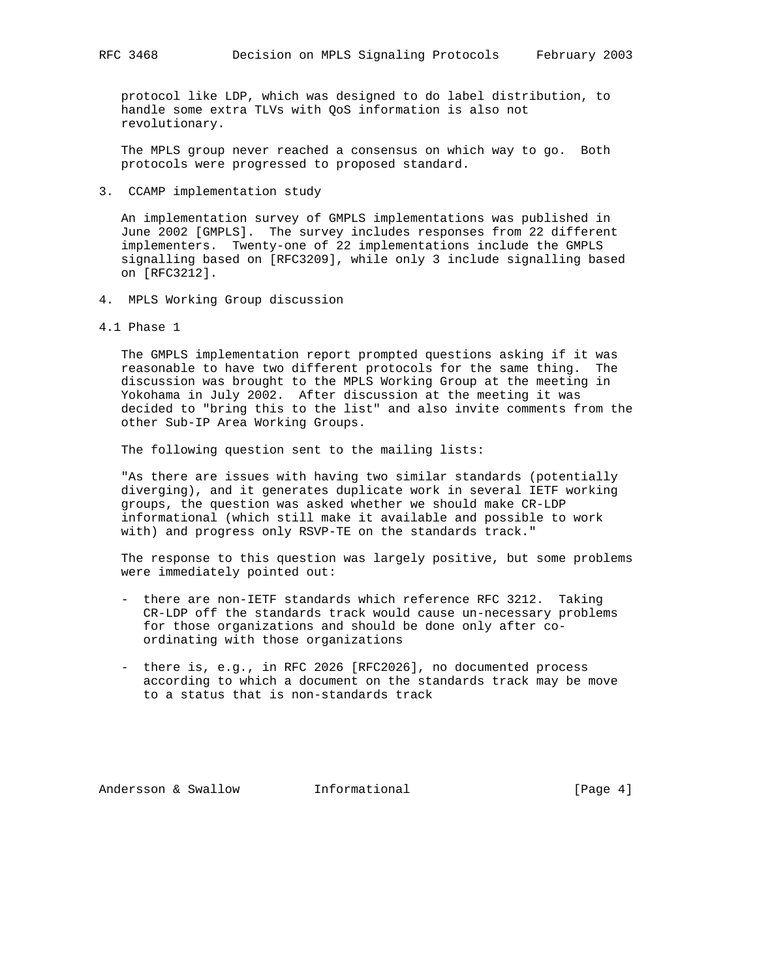protocol like LDP, which was designed to do label distribution, to handle some extra TLVs with QoS information is also not revolutionary.

 The MPLS group never reached a consensus on which way to go. Both protocols were progressed to proposed standard.

3. CCAMP implementation study

 An implementation survey of GMPLS implementations was published in June 2002 [GMPLS]. The survey includes responses from 22 different implementers. Twenty-one of 22 implementations include the GMPLS signalling based on [RFC3209], while only 3 include signalling based on [RFC3212].

- 4. MPLS Working Group discussion
- 4.1 Phase 1

 The GMPLS implementation report prompted questions asking if it was reasonable to have two different protocols for the same thing. The discussion was brought to the MPLS Working Group at the meeting in Yokohama in July 2002. After discussion at the meeting it was decided to "bring this to the list" and also invite comments from the other Sub-IP Area Working Groups.

The following question sent to the mailing lists:

 "As there are issues with having two similar standards (potentially diverging), and it generates duplicate work in several IETF working groups, the question was asked whether we should make CR-LDP informational (which still make it available and possible to work with) and progress only RSVP-TE on the standards track."

 The response to this question was largely positive, but some problems were immediately pointed out:

- there are non-IETF standards which reference RFC 3212. Taking CR-LDP off the standards track would cause un-necessary problems for those organizations and should be done only after co ordinating with those organizations
- there is, e.g., in RFC 2026 [RFC2026], no documented process according to which a document on the standards track may be move to a status that is non-standards track

Andersson & Swallow **Informational** [Page 4]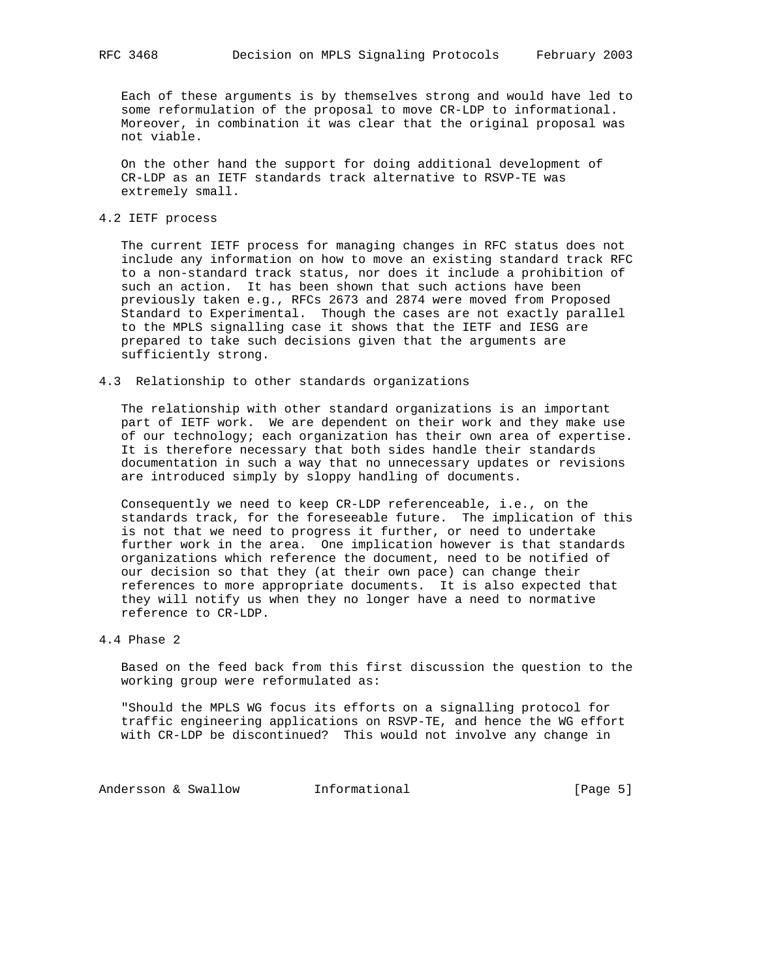Each of these arguments is by themselves strong and would have led to some reformulation of the proposal to move CR-LDP to informational. Moreover, in combination it was clear that the original proposal was not viable.

 On the other hand the support for doing additional development of CR-LDP as an IETF standards track alternative to RSVP-TE was extremely small.

## 4.2 IETF process

 The current IETF process for managing changes in RFC status does not include any information on how to move an existing standard track RFC to a non-standard track status, nor does it include a prohibition of such an action. It has been shown that such actions have been previously taken e.g., RFCs 2673 and 2874 were moved from Proposed Standard to Experimental. Though the cases are not exactly parallel to the MPLS signalling case it shows that the IETF and IESG are prepared to take such decisions given that the arguments are sufficiently strong.

## 4.3 Relationship to other standards organizations

 The relationship with other standard organizations is an important part of IETF work. We are dependent on their work and they make use of our technology; each organization has their own area of expertise. It is therefore necessary that both sides handle their standards documentation in such a way that no unnecessary updates or revisions are introduced simply by sloppy handling of documents.

 Consequently we need to keep CR-LDP referenceable, i.e., on the standards track, for the foreseeable future. The implication of this is not that we need to progress it further, or need to undertake further work in the area. One implication however is that standards organizations which reference the document, need to be notified of our decision so that they (at their own pace) can change their references to more appropriate documents. It is also expected that they will notify us when they no longer have a need to normative reference to CR-LDP.

# 4.4 Phase 2

 Based on the feed back from this first discussion the question to the working group were reformulated as:

 "Should the MPLS WG focus its efforts on a signalling protocol for traffic engineering applications on RSVP-TE, and hence the WG effort with CR-LDP be discontinued? This would not involve any change in

Andersson & Swallow Informational (Page 5)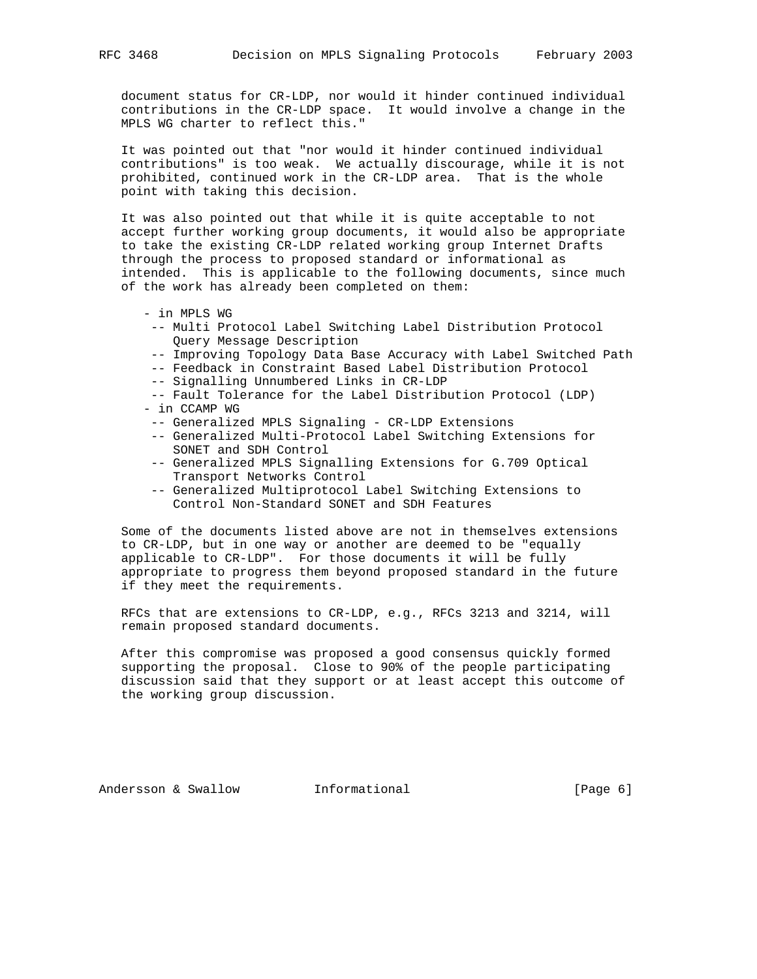document status for CR-LDP, nor would it hinder continued individual contributions in the CR-LDP space. It would involve a change in the MPLS WG charter to reflect this."

 It was pointed out that "nor would it hinder continued individual contributions" is too weak. We actually discourage, while it is not prohibited, continued work in the CR-LDP area. That is the whole point with taking this decision.

 It was also pointed out that while it is quite acceptable to not accept further working group documents, it would also be appropriate to take the existing CR-LDP related working group Internet Drafts through the process to proposed standard or informational as intended. This is applicable to the following documents, since much of the work has already been completed on them:

- in MPLS WG
- -- Multi Protocol Label Switching Label Distribution Protocol Query Message Description
- -- Improving Topology Data Base Accuracy with Label Switched Path
- -- Feedback in Constraint Based Label Distribution Protocol
- -- Signalling Unnumbered Links in CR-LDP

 -- Fault Tolerance for the Label Distribution Protocol (LDP) - in CCAMP WG

- -- Generalized MPLS Signaling CR-LDP Extensions
- -- Generalized Multi-Protocol Label Switching Extensions for SONET and SDH Control
- -- Generalized MPLS Signalling Extensions for G.709 Optical Transport Networks Control
- -- Generalized Multiprotocol Label Switching Extensions to Control Non-Standard SONET and SDH Features

 Some of the documents listed above are not in themselves extensions to CR-LDP, but in one way or another are deemed to be "equally applicable to CR-LDP". For those documents it will be fully appropriate to progress them beyond proposed standard in the future if they meet the requirements.

 RFCs that are extensions to CR-LDP, e.g., RFCs 3213 and 3214, will remain proposed standard documents.

 After this compromise was proposed a good consensus quickly formed supporting the proposal. Close to 90% of the people participating discussion said that they support or at least accept this outcome of the working group discussion.

Andersson & Swallow **Informational Informational** [Page 6]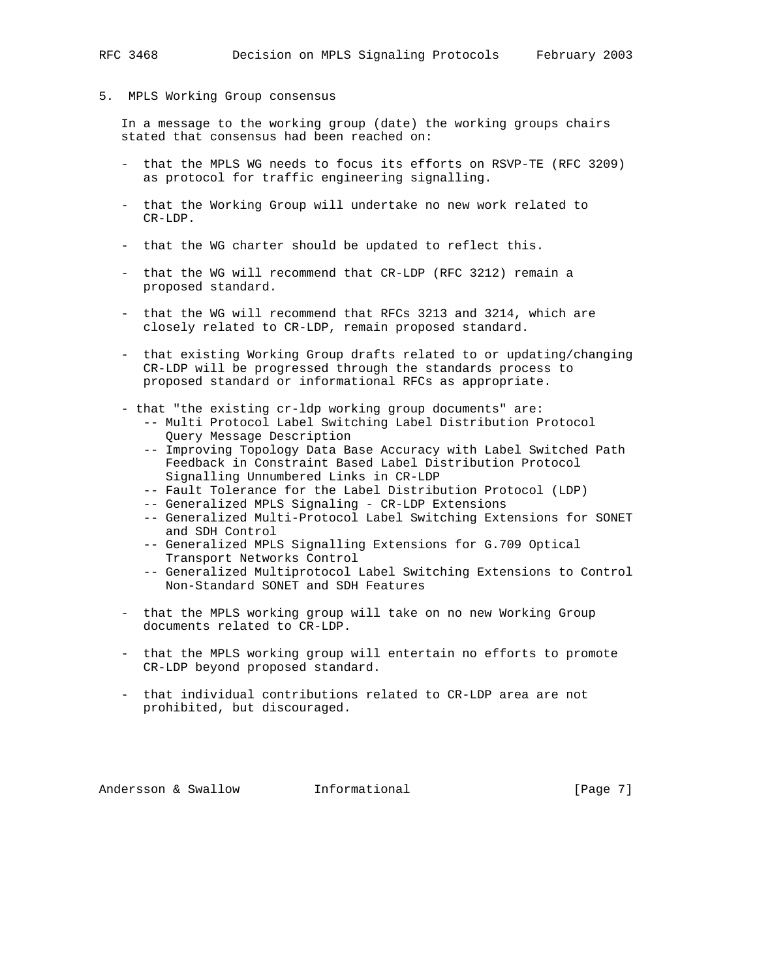#### 5. MPLS Working Group consensus

 In a message to the working group (date) the working groups chairs stated that consensus had been reached on:

- that the MPLS WG needs to focus its efforts on RSVP-TE (RFC 3209) as protocol for traffic engineering signalling.
- that the Working Group will undertake no new work related to CR-LDP.
- that the WG charter should be updated to reflect this.
- that the WG will recommend that CR-LDP (RFC 3212) remain a proposed standard.
- that the WG will recommend that RFCs 3213 and 3214, which are closely related to CR-LDP, remain proposed standard.
- that existing Working Group drafts related to or updating/changing CR-LDP will be progressed through the standards process to proposed standard or informational RFCs as appropriate.
- that "the existing cr-ldp working group documents" are:
	- -- Multi Protocol Label Switching Label Distribution Protocol Query Message Description
	- -- Improving Topology Data Base Accuracy with Label Switched Path Feedback in Constraint Based Label Distribution Protocol Signalling Unnumbered Links in CR-LDP
	- -- Fault Tolerance for the Label Distribution Protocol (LDP)
	- -- Generalized MPLS Signaling CR-LDP Extensions
	- -- Generalized Multi-Protocol Label Switching Extensions for SONET and SDH Control
	- -- Generalized MPLS Signalling Extensions for G.709 Optical Transport Networks Control
	- -- Generalized Multiprotocol Label Switching Extensions to Control Non-Standard SONET and SDH Features
- that the MPLS working group will take on no new Working Group documents related to CR-LDP.
- that the MPLS working group will entertain no efforts to promote CR-LDP beyond proposed standard.
- that individual contributions related to CR-LDP area are not prohibited, but discouraged.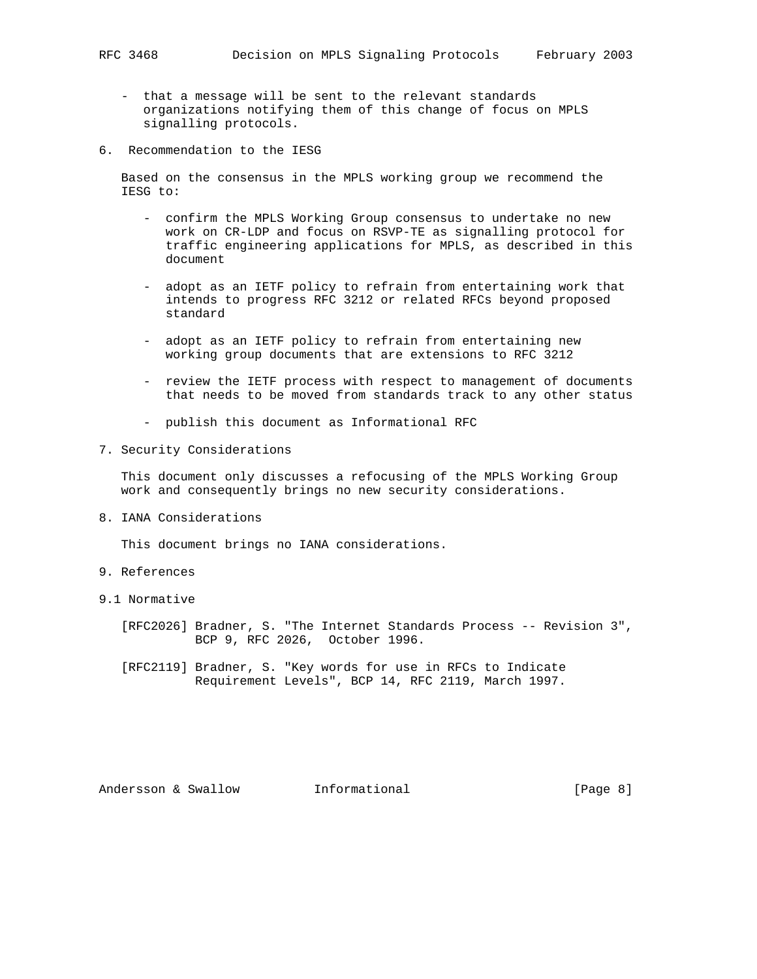- that a message will be sent to the relevant standards organizations notifying them of this change of focus on MPLS signalling protocols.
- 6. Recommendation to the IESG

 Based on the consensus in the MPLS working group we recommend the IESG to:

- confirm the MPLS Working Group consensus to undertake no new work on CR-LDP and focus on RSVP-TE as signalling protocol for traffic engineering applications for MPLS, as described in this document
- adopt as an IETF policy to refrain from entertaining work that intends to progress RFC 3212 or related RFCs beyond proposed standard
- adopt as an IETF policy to refrain from entertaining new working group documents that are extensions to RFC 3212
- review the IETF process with respect to management of documents that needs to be moved from standards track to any other status
- publish this document as Informational RFC
- 7. Security Considerations

 This document only discusses a refocusing of the MPLS Working Group work and consequently brings no new security considerations.

8. IANA Considerations

This document brings no IANA considerations.

- 9. References
- 9.1 Normative
	- [RFC2026] Bradner, S. "The Internet Standards Process -- Revision 3", BCP 9, RFC 2026, October 1996.
	- [RFC2119] Bradner, S. "Key words for use in RFCs to Indicate Requirement Levels", BCP 14, RFC 2119, March 1997.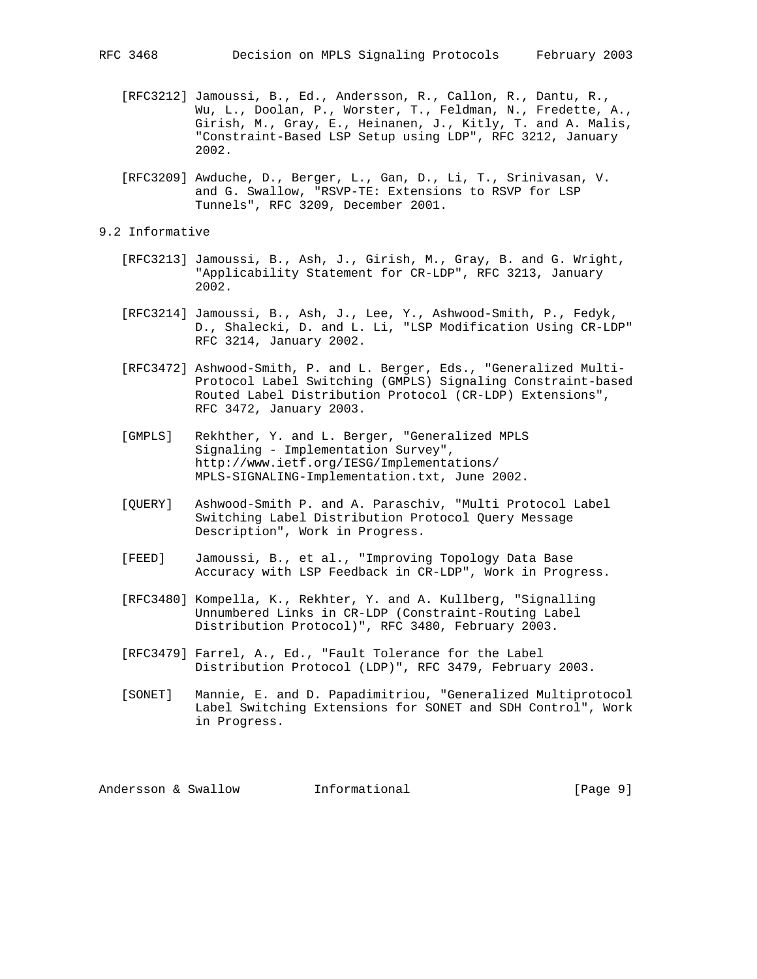- [RFC3212] Jamoussi, B., Ed., Andersson, R., Callon, R., Dantu, R., Wu, L., Doolan, P., Worster, T., Feldman, N., Fredette, A., Girish, M., Gray, E., Heinanen, J., Kitly, T. and A. Malis, "Constraint-Based LSP Setup using LDP", RFC 3212, January 2002.
- [RFC3209] Awduche, D., Berger, L., Gan, D., Li, T., Srinivasan, V. and G. Swallow, "RSVP-TE: Extensions to RSVP for LSP Tunnels", RFC 3209, December 2001.

## 9.2 Informative

- [RFC3213] Jamoussi, B., Ash, J., Girish, M., Gray, B. and G. Wright, "Applicability Statement for CR-LDP", RFC 3213, January 2002.
- [RFC3214] Jamoussi, B., Ash, J., Lee, Y., Ashwood-Smith, P., Fedyk, D., Shalecki, D. and L. Li, "LSP Modification Using CR-LDP" RFC 3214, January 2002.
- [RFC3472] Ashwood-Smith, P. and L. Berger, Eds., "Generalized Multi- Protocol Label Switching (GMPLS) Signaling Constraint-based Routed Label Distribution Protocol (CR-LDP) Extensions", RFC 3472, January 2003.
- [GMPLS] Rekhther, Y. and L. Berger, "Generalized MPLS Signaling - Implementation Survey", http://www.ietf.org/IESG/Implementations/ MPLS-SIGNALING-Implementation.txt, June 2002.
- [QUERY] Ashwood-Smith P. and A. Paraschiv, "Multi Protocol Label Switching Label Distribution Protocol Query Message Description", Work in Progress.
- [FEED] Jamoussi, B., et al., "Improving Topology Data Base Accuracy with LSP Feedback in CR-LDP", Work in Progress.
- [RFC3480] Kompella, K., Rekhter, Y. and A. Kullberg, "Signalling Unnumbered Links in CR-LDP (Constraint-Routing Label Distribution Protocol)", RFC 3480, February 2003.
- [RFC3479] Farrel, A., Ed., "Fault Tolerance for the Label Distribution Protocol (LDP)", RFC 3479, February 2003.
- [SONET] Mannie, E. and D. Papadimitriou, "Generalized Multiprotocol Label Switching Extensions for SONET and SDH Control", Work in Progress.

Andersson & Swallow **Informational Informational** [Page 9]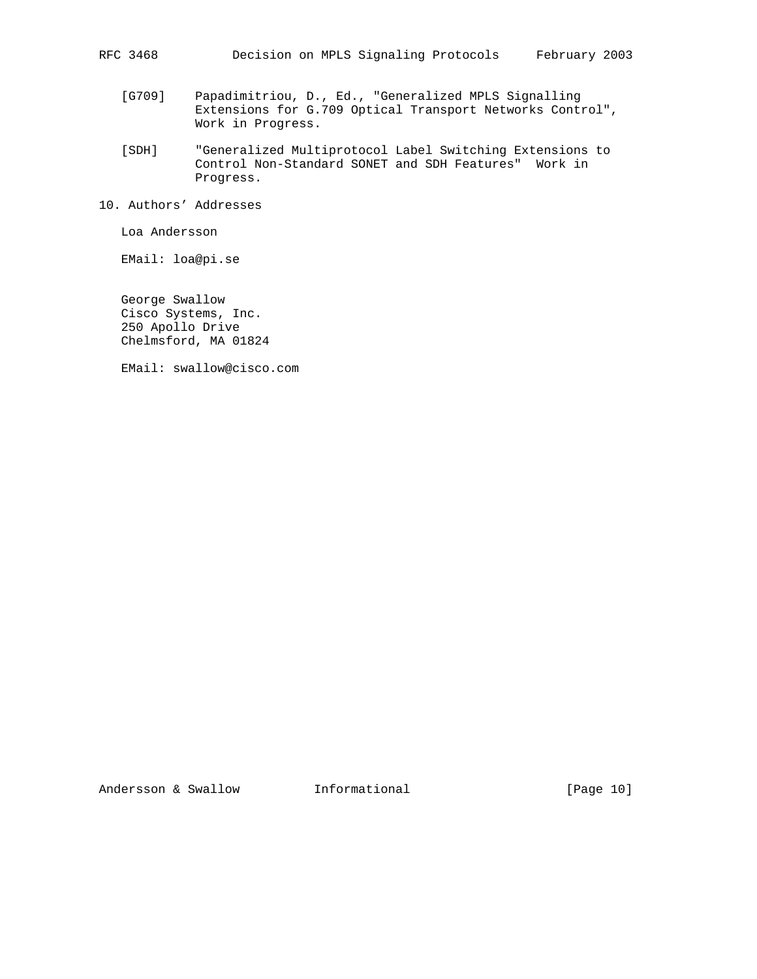- [G709] Papadimitriou, D., Ed., "Generalized MPLS Signalling Extensions for G.709 Optical Transport Networks Control", Work in Progress.
- [SDH] "Generalized Multiprotocol Label Switching Extensions to Control Non-Standard SONET and SDH Features" Work in Progress.
- 10. Authors' Addresses

Loa Andersson

EMail: loa@pi.se

 George Swallow Cisco Systems, Inc. 250 Apollo Drive Chelmsford, MA 01824

EMail: swallow@cisco.com